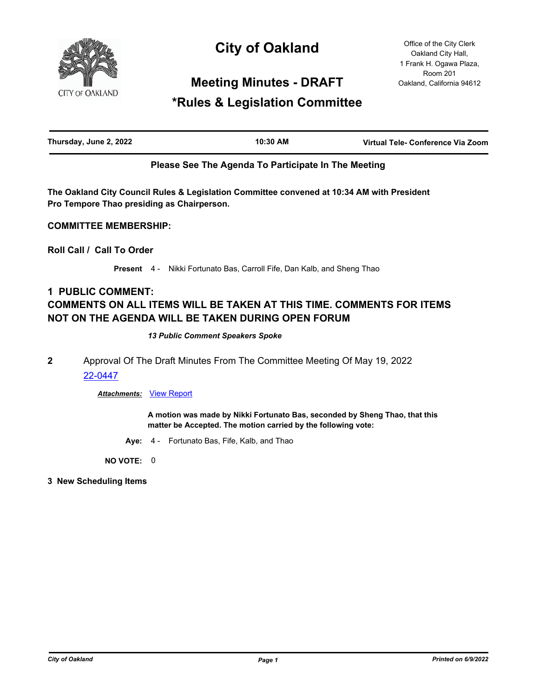

# **City of Oakland**

Office of the City Clerk Oakland City Hall, 1 Frank H. Ogawa Plaza, Room 201 Oakland, California 94612

# **Meeting Minutes - DRAFT**

# **\*Rules & Legislation Committee**

| Thursday, June 2, 2022 | 10:30 AM | Virtual Tele- Conference Via Zoom |
|------------------------|----------|-----------------------------------|
|                        |          |                                   |

# **Please See The Agenda To Participate In The Meeting**

**The Oakland City Council Rules & Legislation Committee convened at 10:34 AM with President Pro Tempore Thao presiding as Chairperson.**

# **COMMITTEE MEMBERSHIP:**

**Roll Call / Call To Order**

**Present** 4 - Nikki Fortunato Bas, Carroll Fife, Dan Kalb, and Sheng Thao

# **1 PUBLIC COMMENT: COMMENTS ON ALL ITEMS WILL BE TAKEN AT THIS TIME. COMMENTS FOR ITEMS NOT ON THE AGENDA WILL BE TAKEN DURING OPEN FORUM**

#### *13 Public Comment Speakers Spoke*

**2** Approval Of The Draft Minutes From The Committee Meeting Of May 19, 2022 [22-0447](http://oakland.legistar.com/gateway.aspx?m=l&id=/matter.aspx?key=33368)

# *Attachments:* [View Report](http://oakland.legistar.com/gateway.aspx?M=F&ID=aadae042-7089-4df7-b690-09fb5dd48dcd.pdf)

**A motion was made by Nikki Fortunato Bas, seconded by Sheng Thao, that this matter be Accepted. The motion carried by the following vote:**

**Aye:** 4 - Fortunato Bas, Fife, Kalb, and Thao

**NO VOTE:** 0

**3 New Scheduling Items**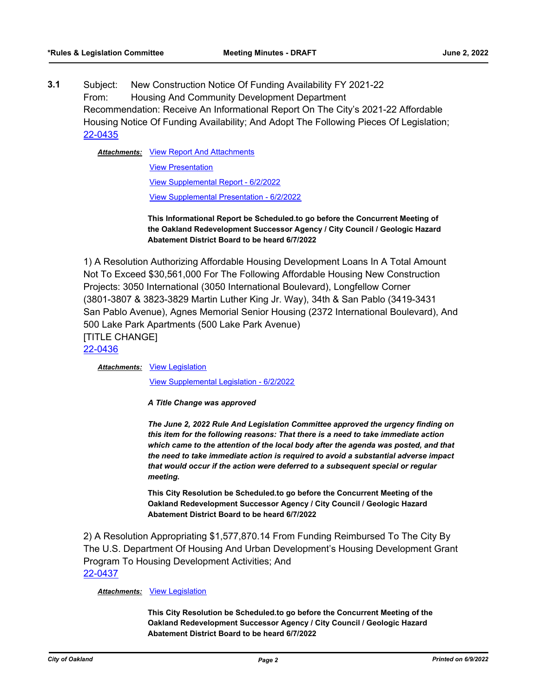**3.1** Subject: New Construction Notice Of Funding Availability FY 2021-22 From: Housing And Community Development Department Recommendation: Receive An Informational Report On The City's 2021-22 Affordable Housing Notice Of Funding Availability; And Adopt The Following Pieces Of Legislation; [22-0435](http://oakland.legistar.com/gateway.aspx?m=l&id=/matter.aspx?key=33356)

Attachments: [View Report And Attachments](http://oakland.legistar.com/gateway.aspx?M=F&ID=5651de0c-96e5-4e9b-a9bf-d0cd40ea1218.pdf)

[View Presentation](http://oakland.legistar.com/gateway.aspx?M=F&ID=e601b501-367c-4cb8-ab5b-d14bc54bfa4a.pptx) [View Supplemental Report - 6/2/2022](http://oakland.legistar.com/gateway.aspx?M=F&ID=3a02e2f5-fc3f-45cc-b331-5632151f82e1.pdf) [View Supplemental Presentation - 6/2/2022](http://oakland.legistar.com/gateway.aspx?M=F&ID=2dcb0967-a0a3-4229-892b-1a780e9e1647.pptx)

**This Informational Report be Scheduled.to go before the Concurrent Meeting of the Oakland Redevelopment Successor Agency / City Council / Geologic Hazard Abatement District Board to be heard 6/7/2022**

1) A Resolution Authorizing Affordable Housing Development Loans In A Total Amount Not To Exceed \$30,561,000 For The Following Affordable Housing New Construction Projects: 3050 International (3050 International Boulevard), Longfellow Corner (3801-3807 & 3823-3829 Martin Luther King Jr. Way), 34th & San Pablo (3419-3431 San Pablo Avenue), Agnes Memorial Senior Housing (2372 International Boulevard), And 500 Lake Park Apartments (500 Lake Park Avenue) [TITLE CHANGE] [22-0436](http://oakland.legistar.com/gateway.aspx?m=l&id=/matter.aspx?key=33357)

Attachments: [View Legislation](http://oakland.legistar.com/gateway.aspx?M=F&ID=1341f698-014a-4b30-a649-9df73581d966.pdf)

[View Supplemental Legislation - 6/2/2022](http://oakland.legistar.com/gateway.aspx?M=F&ID=32edb327-940f-4d53-853d-e0cdfb3b026f.pdf)

*A Title Change was approved* 

*The June 2, 2022 Rule And Legislation Committee approved the urgency finding on this item for the following reasons: That there is a need to take immediate action which came to the attention of the local body after the agenda was posted, and that the need to take immediate action is required to avoid a substantial adverse impact that would occur if the action were deferred to a subsequent special or regular meeting.*

**This City Resolution be Scheduled.to go before the Concurrent Meeting of the Oakland Redevelopment Successor Agency / City Council / Geologic Hazard Abatement District Board to be heard 6/7/2022**

2) A Resolution Appropriating \$1,577,870.14 From Funding Reimbursed To The City By The U.S. Department Of Housing And Urban Development's Housing Development Grant Program To Housing Development Activities; And [22-0437](http://oakland.legistar.com/gateway.aspx?m=l&id=/matter.aspx?key=33358)

#### *Attachments:* [View Legislation](http://oakland.legistar.com/gateway.aspx?M=F&ID=2d519da0-c246-45f5-9429-59281b971ebd.pdf)

**This City Resolution be Scheduled.to go before the Concurrent Meeting of the Oakland Redevelopment Successor Agency / City Council / Geologic Hazard Abatement District Board to be heard 6/7/2022**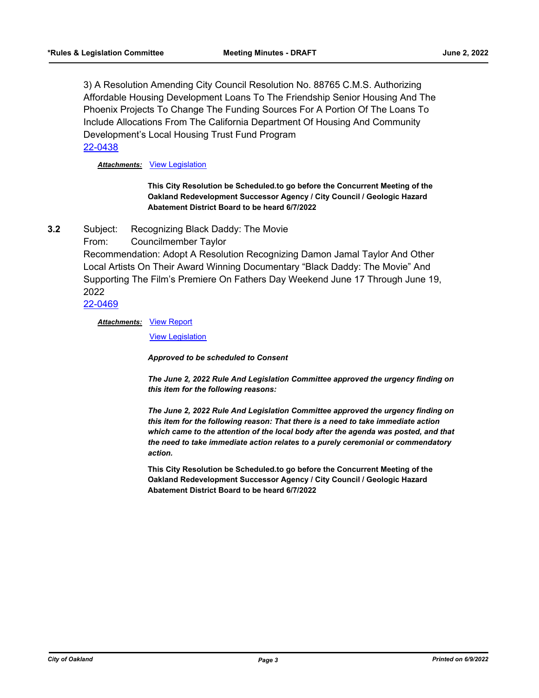3) A Resolution Amending City Council Resolution No. 88765 C.M.S. Authorizing Affordable Housing Development Loans To The Friendship Senior Housing And The Phoenix Projects To Change The Funding Sources For A Portion Of The Loans To Include Allocations From The California Department Of Housing And Community Development's Local Housing Trust Fund Program [22-0438](http://oakland.legistar.com/gateway.aspx?m=l&id=/matter.aspx?key=33359)

*Attachments:* [View Legislation](http://oakland.legistar.com/gateway.aspx?M=F&ID=9c9c985e-e7fb-4e82-8475-0ef6fae3d573.pdf)

**This City Resolution be Scheduled.to go before the Concurrent Meeting of the Oakland Redevelopment Successor Agency / City Council / Geologic Hazard Abatement District Board to be heard 6/7/2022**

**3.2** Subject: Recognizing Black Daddy: The Movie

From: Councilmember Taylor

Recommendation: Adopt A Resolution Recognizing Damon Jamal Taylor And Other Local Artists On Their Award Winning Documentary "Black Daddy: The Movie" And Supporting The Film's Premiere On Fathers Day Weekend June 17 Through June 19, 2022

# [22-0469](http://oakland.legistar.com/gateway.aspx?m=l&id=/matter.aspx?key=33390)

**Attachments: [View Report](http://oakland.legistar.com/gateway.aspx?M=F&ID=f6117d70-2199-4b67-ac83-c5ebc994afbc.pdf)** 

[View Legislation](http://oakland.legistar.com/gateway.aspx?M=F&ID=ab0833fd-00ab-4c7f-acd0-cf3d92ec91f1.pdf)

*Approved to be scheduled to Consent* 

*The June 2, 2022 Rule And Legislation Committee approved the urgency finding on this item for the following reasons:* 

*The June 2, 2022 Rule And Legislation Committee approved the urgency finding on this item for the following reason: That there is a need to take immediate action which came to the attention of the local body after the agenda was posted, and that the need to take immediate action relates to a purely ceremonial or commendatory action.*

**This City Resolution be Scheduled.to go before the Concurrent Meeting of the Oakland Redevelopment Successor Agency / City Council / Geologic Hazard Abatement District Board to be heard 6/7/2022**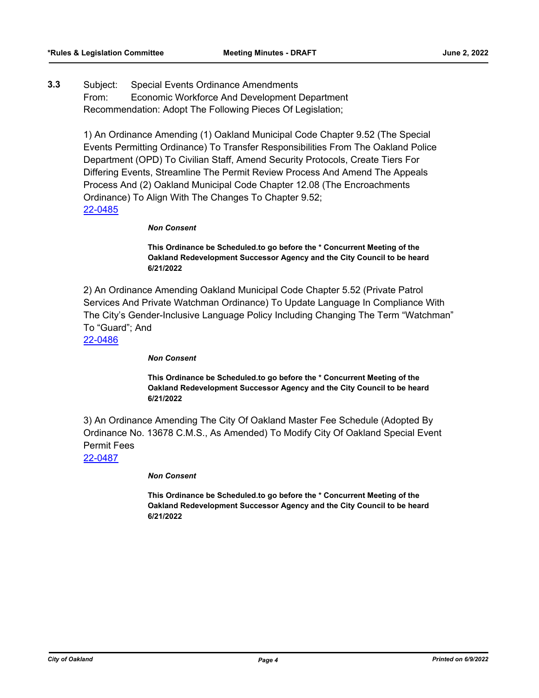**3.3** Subject: Special Events Ordinance Amendments From: Economic Workforce And Development Department Recommendation: Adopt The Following Pieces Of Legislation;

> 1) An Ordinance Amending (1) Oakland Municipal Code Chapter 9.52 (The Special Events Permitting Ordinance) To Transfer Responsibilities From The Oakland Police Department (OPD) To Civilian Staff, Amend Security Protocols, Create Tiers For Differing Events, Streamline The Permit Review Process And Amend The Appeals Process And (2) Oakland Municipal Code Chapter 12.08 (The Encroachments Ordinance) To Align With The Changes To Chapter 9.52; [22-0485](http://oakland.legistar.com/gateway.aspx?m=l&id=/matter.aspx?key=33405)

#### *Non Consent*

**This Ordinance be Scheduled.to go before the \* Concurrent Meeting of the Oakland Redevelopment Successor Agency and the City Council to be heard 6/21/2022**

2) An Ordinance Amending Oakland Municipal Code Chapter 5.52 (Private Patrol Services And Private Watchman Ordinance) To Update Language In Compliance With The City's Gender-Inclusive Language Policy Including Changing The Term "Watchman" To "Guard"; And

[22-0486](http://oakland.legistar.com/gateway.aspx?m=l&id=/matter.aspx?key=33406)

*Non Consent*

**This Ordinance be Scheduled.to go before the \* Concurrent Meeting of the Oakland Redevelopment Successor Agency and the City Council to be heard 6/21/2022**

3) An Ordinance Amending The City Of Oakland Master Fee Schedule (Adopted By Ordinance No. 13678 C.M.S., As Amended) To Modify City Of Oakland Special Event Permit Fees

[22-0487](http://oakland.legistar.com/gateway.aspx?m=l&id=/matter.aspx?key=33407)

*Non Consent*

**This Ordinance be Scheduled.to go before the \* Concurrent Meeting of the Oakland Redevelopment Successor Agency and the City Council to be heard 6/21/2022**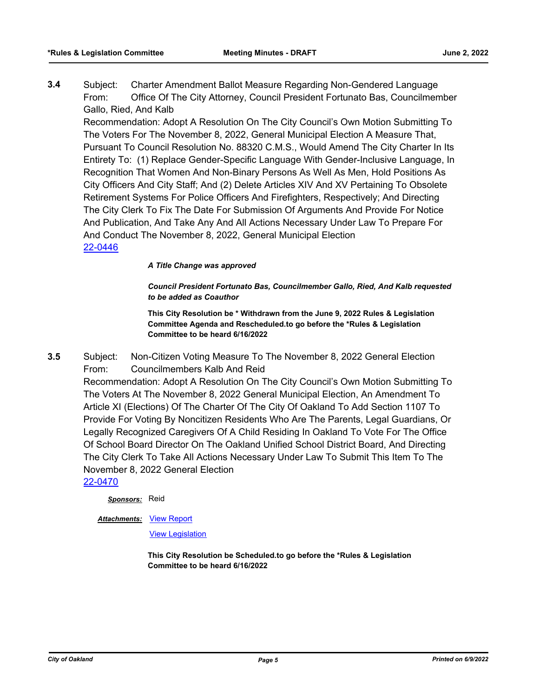**3.4** Subject: Charter Amendment Ballot Measure Regarding Non-Gendered Language From: Office Of The City Attorney, Council President Fortunato Bas, Councilmember Gallo, Ried, And Kalb

Recommendation: Adopt A Resolution On The City Council's Own Motion Submitting To The Voters For The November 8, 2022, General Municipal Election A Measure That, Pursuant To Council Resolution No. 88320 C.M.S., Would Amend The City Charter In Its Entirety To: (1) Replace Gender-Specific Language With Gender-Inclusive Language, In Recognition That Women And Non-Binary Persons As Well As Men, Hold Positions As City Officers And City Staff; And (2) Delete Articles XIV And XV Pertaining To Obsolete Retirement Systems For Police Officers And Firefighters, Respectively; And Directing The City Clerk To Fix The Date For Submission Of Arguments And Provide For Notice And Publication, And Take Any And All Actions Necessary Under Law To Prepare For And Conduct The November 8, 2022, General Municipal Election [22-0446](http://oakland.legistar.com/gateway.aspx?m=l&id=/matter.aspx?key=33367)

#### *A Title Change was approved*

*Council President Fortunato Bas, Councilmember Gallo, Ried, And Kalb requested to be added as Coauthor*

**This City Resolution be \* Withdrawn from the June 9, 2022 Rules & Legislation Committee Agenda and Rescheduled.to go before the \*Rules & Legislation Committee to be heard 6/16/2022**

**3.5** Subject: Non-Citizen Voting Measure To The November 8, 2022 General Election From: Councilmembers Kalb And Reid

Recommendation: Adopt A Resolution On The City Council's Own Motion Submitting To The Voters At The November 8, 2022 General Municipal Election, An Amendment To Article XI (Elections) Of The Charter Of The City Of Oakland To Add Section 1107 To Provide For Voting By Noncitizen Residents Who Are The Parents, Legal Guardians, Or Legally Recognized Caregivers Of A Child Residing In Oakland To Vote For The Office Of School Board Director On The Oakland Unified School District Board, And Directing The City Clerk To Take All Actions Necessary Under Law To Submit This Item To The November 8, 2022 General Election

[22-0470](http://oakland.legistar.com/gateway.aspx?m=l&id=/matter.aspx?key=33391)

*Sponsors:* Reid

#### **Attachments: [View Report](http://oakland.legistar.com/gateway.aspx?M=F&ID=724c54a4-becb-4733-9486-37b42dab59d7.pdf)**

[View Legislation](http://oakland.legistar.com/gateway.aspx?M=F&ID=6f9b40ea-9d87-495d-9e91-73dd864fdec0.pdf)

**This City Resolution be Scheduled.to go before the \*Rules & Legislation Committee to be heard 6/16/2022**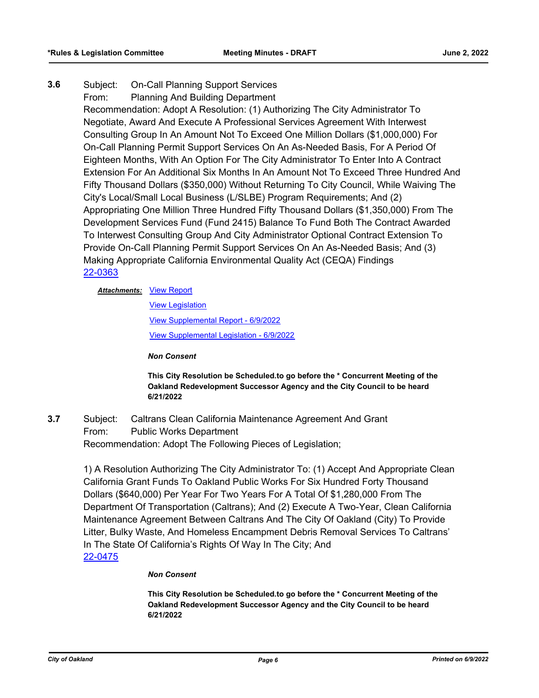**3.6** Subject: On-Call Planning Support Services From: Planning And Building Department Recommendation: Adopt A Resolution: (1) Authorizing The City Administrator To Negotiate, Award And Execute A Professional Services Agreement With Interwest Consulting Group In An Amount Not To Exceed One Million Dollars (\$1,000,000) For On-Call Planning Permit Support Services On An As-Needed Basis, For A Period Of Eighteen Months, With An Option For The City Administrator To Enter Into A Contract Extension For An Additional Six Months In An Amount Not To Exceed Three Hundred And Fifty Thousand Dollars (\$350,000) Without Returning To City Council, While Waiving The City's Local/Small Local Business (L/SLBE) Program Requirements; And (2) Appropriating One Million Three Hundred Fifty Thousand Dollars (\$1,350,000) From The Development Services Fund (Fund 2415) Balance To Fund Both The Contract Awarded To Interwest Consulting Group And City Administrator Optional Contract Extension To Provide On-Call Planning Permit Support Services On An As-Needed Basis; And (3) Making Appropriate California Environmental Quality Act (CEQA) Findings [22-0363](http://oakland.legistar.com/gateway.aspx?m=l&id=/matter.aspx?key=33284)

#### **Attachments: [View Report](http://oakland.legistar.com/gateway.aspx?M=F&ID=fdd4f5ac-00fe-416a-9a56-a48579417b27.pdf)**

[View Legislation](http://oakland.legistar.com/gateway.aspx?M=F&ID=d9bbee05-26af-4ba7-8293-addecb27b115.pdf) [View Supplemental Report - 6/9/2022](http://oakland.legistar.com/gateway.aspx?M=F&ID=95f96ea6-de4f-4d71-9175-ca7a43ce4677.pdf) [View Supplemental Legislation - 6/9/2022](http://oakland.legistar.com/gateway.aspx?M=F&ID=f8f98525-6b0c-40d1-a815-07a6fe169b8c.pdf)

*Non Consent*

**This City Resolution be Scheduled.to go before the \* Concurrent Meeting of the Oakland Redevelopment Successor Agency and the City Council to be heard 6/21/2022**

**3.7** Subject: Caltrans Clean California Maintenance Agreement And Grant From: Public Works Department Recommendation: Adopt The Following Pieces of Legislation;

> 1) A Resolution Authorizing The City Administrator To: (1) Accept And Appropriate Clean California Grant Funds To Oakland Public Works For Six Hundred Forty Thousand Dollars (\$640,000) Per Year For Two Years For A Total Of \$1,280,000 From The Department Of Transportation (Caltrans); And (2) Execute A Two-Year, Clean California Maintenance Agreement Between Caltrans And The City Of Oakland (City) To Provide Litter, Bulky Waste, And Homeless Encampment Debris Removal Services To Caltrans' In The State Of California's Rights Of Way In The City; And [22-0475](http://oakland.legistar.com/gateway.aspx?m=l&id=/matter.aspx?key=33395)

#### *Non Consent*

**This City Resolution be Scheduled.to go before the \* Concurrent Meeting of the Oakland Redevelopment Successor Agency and the City Council to be heard 6/21/2022**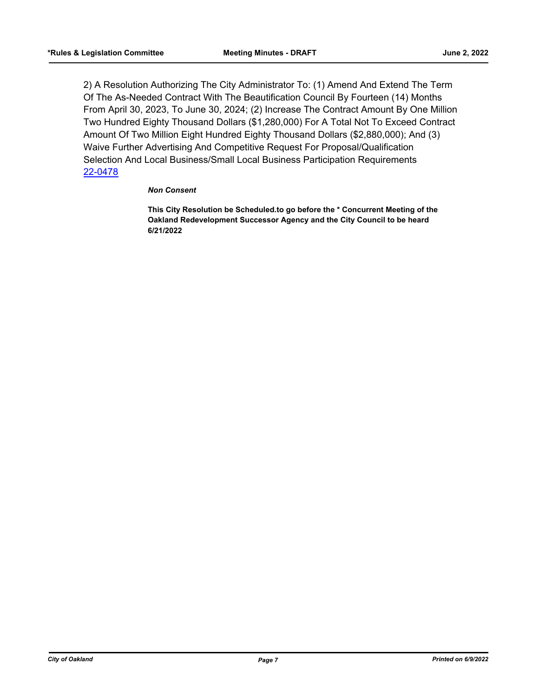2) A Resolution Authorizing The City Administrator To: (1) Amend And Extend The Term Of The As-Needed Contract With The Beautification Council By Fourteen (14) Months From April 30, 2023, To June 30, 2024; (2) Increase The Contract Amount By One Million Two Hundred Eighty Thousand Dollars (\$1,280,000) For A Total Not To Exceed Contract Amount Of Two Million Eight Hundred Eighty Thousand Dollars (\$2,880,000); And (3) Waive Further Advertising And Competitive Request For Proposal/Qualification Selection And Local Business/Small Local Business Participation Requirements [22-0478](http://oakland.legistar.com/gateway.aspx?m=l&id=/matter.aspx?key=33398)

#### *Non Consent*

**This City Resolution be Scheduled.to go before the \* Concurrent Meeting of the Oakland Redevelopment Successor Agency and the City Council to be heard 6/21/2022**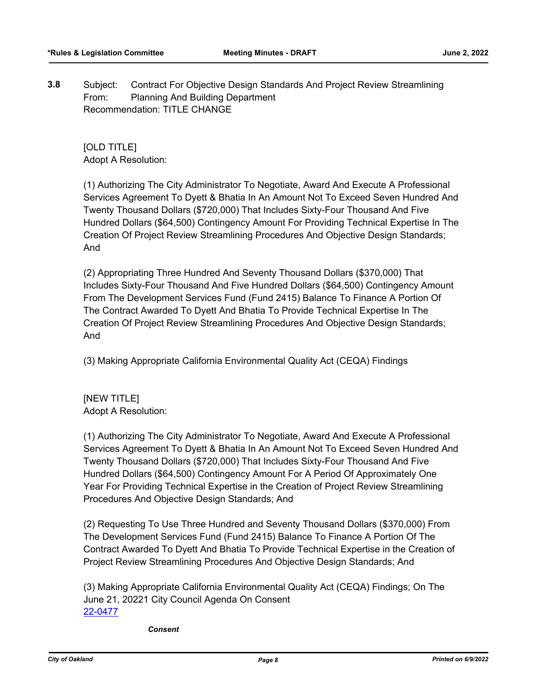**3.8** Subject: Contract For Objective Design Standards And Project Review Streamlining From: Planning And Building Department Recommendation: TITLE CHANGE

[OLD TITLE] Adopt A Resolution:

(1) Authorizing The City Administrator To Negotiate, Award And Execute A Professional Services Agreement To Dyett & Bhatia In An Amount Not To Exceed Seven Hundred And Twenty Thousand Dollars (\$720,000) That Includes Sixty-Four Thousand And Five Hundred Dollars (\$64,500) Contingency Amount For Providing Technical Expertise In The Creation Of Project Review Streamlining Procedures And Objective Design Standards; And

(2) Appropriating Three Hundred And Seventy Thousand Dollars (\$370,000) That Includes Sixty-Four Thousand And Five Hundred Dollars (\$64,500) Contingency Amount From The Development Services Fund (Fund 2415) Balance To Finance A Portion Of The Contract Awarded To Dyett And Bhatia To Provide Technical Expertise In The Creation Of Project Review Streamlining Procedures And Objective Design Standards; And

(3) Making Appropriate California Environmental Quality Act (CEQA) Findings

[NEW TITLE] Adopt A Resolution:

(1) Authorizing The City Administrator To Negotiate, Award And Execute A Professional Services Agreement To Dyett & Bhatia In An Amount Not To Exceed Seven Hundred And Twenty Thousand Dollars (\$720,000) That Includes Sixty-Four Thousand And Five Hundred Dollars (\$64,500) Contingency Amount For A Period Of Approximately One Year For Providing Technical Expertise in the Creation of Project Review Streamlining Procedures And Objective Design Standards; And

(2) Requesting To Use Three Hundred and Seventy Thousand Dollars (\$370,000) From The Development Services Fund (Fund 2415) Balance To Finance A Portion Of The Contract Awarded To Dyett And Bhatia To Provide Technical Expertise in the Creation of Project Review Streamlining Procedures And Objective Design Standards; And

(3) Making Appropriate California Environmental Quality Act (CEQA) Findings; On The June 21, 20221 City Council Agenda On Consent [22-0477](http://oakland.legistar.com/gateway.aspx?m=l&id=/matter.aspx?key=33397)

*Consent*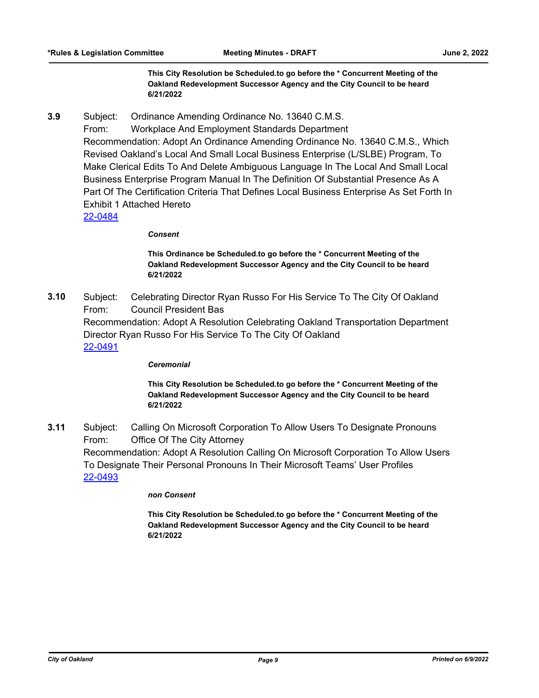**This City Resolution be Scheduled.to go before the \* Concurrent Meeting of the Oakland Redevelopment Successor Agency and the City Council to be heard 6/21/2022**

**3.9** Subject: Ordinance Amending Ordinance No. 13640 C.M.S.

From: Workplace And Employment Standards Department Recommendation: Adopt An Ordinance Amending Ordinance No. 13640 C.M.S., Which Revised Oakland's Local And Small Local Business Enterprise (L/SLBE) Program, To Make Clerical Edits To And Delete Ambiguous Language In The Local And Small Local Business Enterprise Program Manual In The Definition Of Substantial Presence As A Part Of The Certification Criteria That Defines Local Business Enterprise As Set Forth In Exhibit 1 Attached Hereto

[22-0484](http://oakland.legistar.com/gateway.aspx?m=l&id=/matter.aspx?key=33404)

#### *Consent*

**This Ordinance be Scheduled.to go before the \* Concurrent Meeting of the Oakland Redevelopment Successor Agency and the City Council to be heard 6/21/2022**

**3.10** Subject: Celebrating Director Ryan Russo For His Service To The City Of Oakland From: Council President Bas Recommendation: Adopt A Resolution Celebrating Oakland Transportation Department Director Ryan Russo For His Service To The City Of Oakland [22-0491](http://oakland.legistar.com/gateway.aspx?m=l&id=/matter.aspx?key=33411)

#### *Ceremonial*

**This City Resolution be Scheduled.to go before the \* Concurrent Meeting of the Oakland Redevelopment Successor Agency and the City Council to be heard 6/21/2022**

**3.11** Subject: Calling On Microsoft Corporation To Allow Users To Designate Pronouns From: Office Of The City Attorney Recommendation: Adopt A Resolution Calling On Microsoft Corporation To Allow Users To Designate Their Personal Pronouns In Their Microsoft Teams' User Profiles [22-0493](http://oakland.legistar.com/gateway.aspx?m=l&id=/matter.aspx?key=33413)

#### *non Consent*

**This City Resolution be Scheduled.to go before the \* Concurrent Meeting of the Oakland Redevelopment Successor Agency and the City Council to be heard 6/21/2022**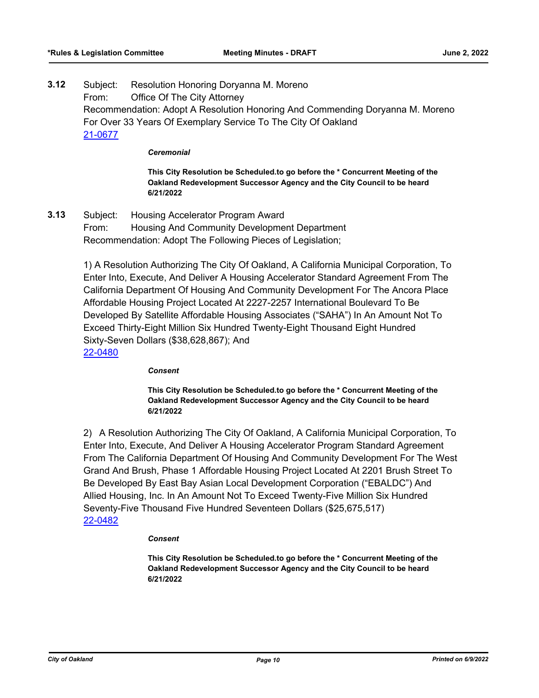**3.12** Subject: Resolution Honoring Doryanna M. Moreno From: Office Of The City Attorney Recommendation: Adopt A Resolution Honoring And Commending Doryanna M. Moreno For Over 33 Years Of Exemplary Service To The City Of Oakland [21-0677](http://oakland.legistar.com/gateway.aspx?m=l&id=/matter.aspx?key=32602)

#### *Ceremonial*

**This City Resolution be Scheduled.to go before the \* Concurrent Meeting of the Oakland Redevelopment Successor Agency and the City Council to be heard 6/21/2022**

**3.13** Subject: Housing Accelerator Program Award From: Housing And Community Development Department Recommendation: Adopt The Following Pieces of Legislation;

> 1) A Resolution Authorizing The City Of Oakland, A California Municipal Corporation, To Enter Into, Execute, And Deliver A Housing Accelerator Standard Agreement From The California Department Of Housing And Community Development For The Ancora Place Affordable Housing Project Located At 2227-2257 International Boulevard To Be Developed By Satellite Affordable Housing Associates ("SAHA") In An Amount Not To Exceed Thirty-Eight Million Six Hundred Twenty-Eight Thousand Eight Hundred Sixty-Seven Dollars (\$38,628,867); And

[22-0480](http://oakland.legistar.com/gateway.aspx?m=l&id=/matter.aspx?key=33400)

#### *Consent*

**This City Resolution be Scheduled.to go before the \* Concurrent Meeting of the Oakland Redevelopment Successor Agency and the City Council to be heard 6/21/2022**

2) A Resolution Authorizing The City Of Oakland, A California Municipal Corporation, To Enter Into, Execute, And Deliver A Housing Accelerator Program Standard Agreement From The California Department Of Housing And Community Development For The West Grand And Brush, Phase 1 Affordable Housing Project Located At 2201 Brush Street To Be Developed By East Bay Asian Local Development Corporation ("EBALDC") And Allied Housing, Inc. In An Amount Not To Exceed Twenty-Five Million Six Hundred Seventy-Five Thousand Five Hundred Seventeen Dollars (\$25,675,517) [22-0482](http://oakland.legistar.com/gateway.aspx?m=l&id=/matter.aspx?key=33402)

#### *Consent*

**This City Resolution be Scheduled.to go before the \* Concurrent Meeting of the Oakland Redevelopment Successor Agency and the City Council to be heard 6/21/2022**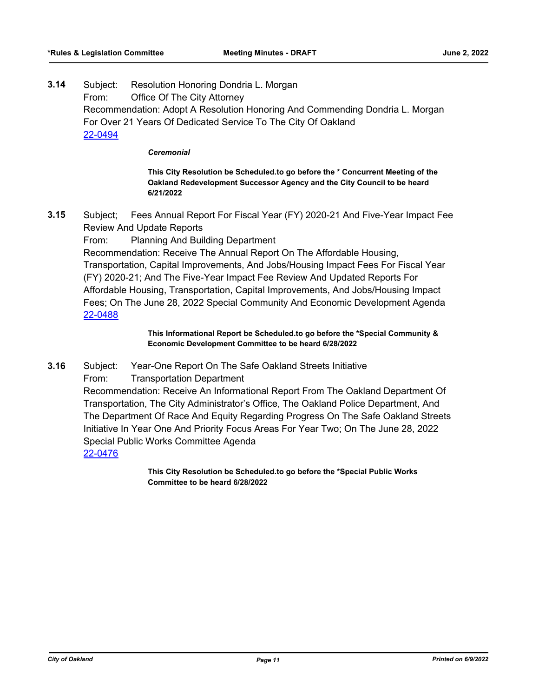**3.14** Subject: Resolution Honoring Dondria L. Morgan From: Office Of The City Attorney Recommendation: Adopt A Resolution Honoring And Commending Dondria L. Morgan For Over 21 Years Of Dedicated Service To The City Of Oakland [22-0494](http://oakland.legistar.com/gateway.aspx?m=l&id=/matter.aspx?key=33414)

#### *Ceremonial*

**This City Resolution be Scheduled.to go before the \* Concurrent Meeting of the Oakland Redevelopment Successor Agency and the City Council to be heard 6/21/2022**

- **3.15** Subject; Fees Annual Report For Fiscal Year (FY) 2020-21 And Five-Year Impact Fee Review And Update Reports
	- From: Planning And Building Department

Recommendation: Receive The Annual Report On The Affordable Housing, Transportation, Capital Improvements, And Jobs/Housing Impact Fees For Fiscal Year (FY) 2020-21; And The Five-Year Impact Fee Review And Updated Reports For Affordable Housing, Transportation, Capital Improvements, And Jobs/Housing Impact Fees; On The June 28, 2022 Special Community And Economic Development Agenda [22-0488](http://oakland.legistar.com/gateway.aspx?m=l&id=/matter.aspx?key=33408)

> **This Informational Report be Scheduled.to go before the \*Special Community & Economic Development Committee to be heard 6/28/2022**

- **3.16** Subject: Year-One Report On The Safe Oakland Streets Initiative
	- From: Transportation Department

Recommendation: Receive An Informational Report From The Oakland Department Of Transportation, The City Administrator's Office, The Oakland Police Department, And The Department Of Race And Equity Regarding Progress On The Safe Oakland Streets Initiative In Year One And Priority Focus Areas For Year Two; On The June 28, 2022 Special Public Works Committee Agenda

[22-0476](http://oakland.legistar.com/gateway.aspx?m=l&id=/matter.aspx?key=33396)

**This City Resolution be Scheduled.to go before the \*Special Public Works Committee to be heard 6/28/2022**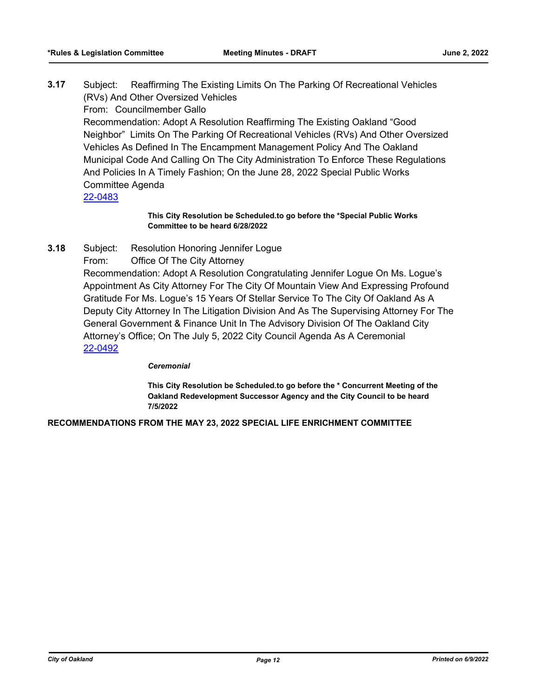**3.17** Subject: Reaffirming The Existing Limits On The Parking Of Recreational Vehicles (RVs) And Other Oversized Vehicles

From: Councilmember Gallo

Recommendation: Adopt A Resolution Reaffirming The Existing Oakland "Good Neighbor" Limits On The Parking Of Recreational Vehicles (RVs) And Other Oversized Vehicles As Defined In The Encampment Management Policy And The Oakland Municipal Code And Calling On The City Administration To Enforce These Regulations And Policies In A Timely Fashion; On the June 28, 2022 Special Public Works Committee Agenda

[22-0483](http://oakland.legistar.com/gateway.aspx?m=l&id=/matter.aspx?key=33403)

# **This City Resolution be Scheduled.to go before the \*Special Public Works Committee to be heard 6/28/2022**

- **3.18** Subject: Resolution Honoring Jennifer Logue
	- From: Office Of The City Attorney

Recommendation: Adopt A Resolution Congratulating Jennifer Logue On Ms. Logue's Appointment As City Attorney For The City Of Mountain View And Expressing Profound Gratitude For Ms. Logue's 15 Years Of Stellar Service To The City Of Oakland As A Deputy City Attorney In The Litigation Division And As The Supervising Attorney For The General Government & Finance Unit In The Advisory Division Of The Oakland City Attorney's Office; On The July 5, 2022 City Council Agenda As A Ceremonial [22-0492](http://oakland.legistar.com/gateway.aspx?m=l&id=/matter.aspx?key=33412)

#### *Ceremonial*

**This City Resolution be Scheduled.to go before the \* Concurrent Meeting of the Oakland Redevelopment Successor Agency and the City Council to be heard 7/5/2022**

**RECOMMENDATIONS FROM THE MAY 23, 2022 SPECIAL LIFE ENRICHMENT COMMITTEE**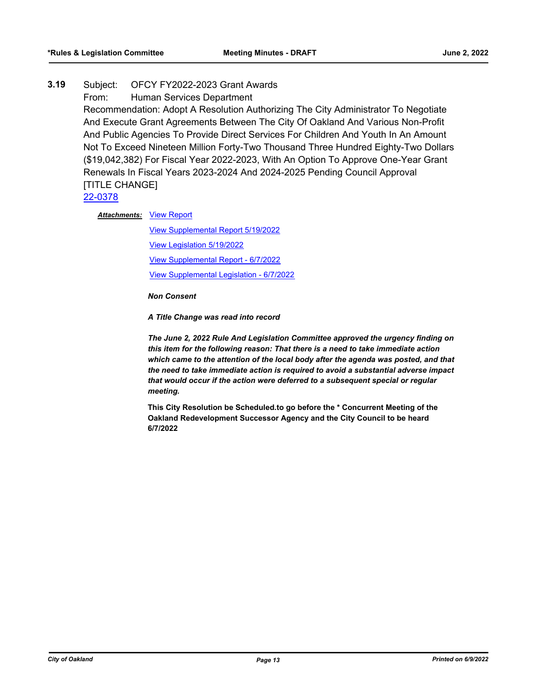# **3.19** Subject: OFCY FY2022-2023 Grant Awards From: Human Services Department Recommendation: Adopt A Resolution Authorizing The City Administrator To Negotiate And Execute Grant Agreements Between The City Of Oakland And Various Non-Profit And Public Agencies To Provide Direct Services For Children And Youth In An Amount Not To Exceed Nineteen Million Forty-Two Thousand Three Hundred Eighty-Two Dollars (\$19,042,382) For Fiscal Year 2022-2023, With An Option To Approve One-Year Grant Renewals In Fiscal Years 2023-2024 And 2024-2025 Pending Council Approval [TITLE CHANGE]

[22-0378](http://oakland.legistar.com/gateway.aspx?m=l&id=/matter.aspx?key=33299)

**Attachments: [View Report](http://oakland.legistar.com/gateway.aspx?M=F&ID=9ff4777f-7a27-45b6-a281-8f259d9bbd30.pdf)** 

[View Supplemental Report 5/19/2022](http://oakland.legistar.com/gateway.aspx?M=F&ID=70b55ab1-982f-453e-b567-155090a6f5ab.pdf) [View Legislation 5/19/2022](http://oakland.legistar.com/gateway.aspx?M=F&ID=bd421f21-676e-4d00-bb9e-696070e12fdc.pdf) [View Supplemental Report - 6/7/2022](http://oakland.legistar.com/gateway.aspx?M=F&ID=b4f0025d-d3b3-4183-b6ea-7173c88e26ae.pdf) [View Supplemental Legislation - 6/7/2022](http://oakland.legistar.com/gateway.aspx?M=F&ID=f0e0f24b-0a0f-433c-b736-b7ef96a0df4a.PDF)

*Non Consent* 

*A Title Change was read into record* 

*The June 2, 2022 Rule And Legislation Committee approved the urgency finding on this item for the following reason: That there is a need to take immediate action which came to the attention of the local body after the agenda was posted, and that the need to take immediate action is required to avoid a substantial adverse impact that would occur if the action were deferred to a subsequent special or regular meeting.*

**This City Resolution be Scheduled.to go before the \* Concurrent Meeting of the Oakland Redevelopment Successor Agency and the City Council to be heard 6/7/2022**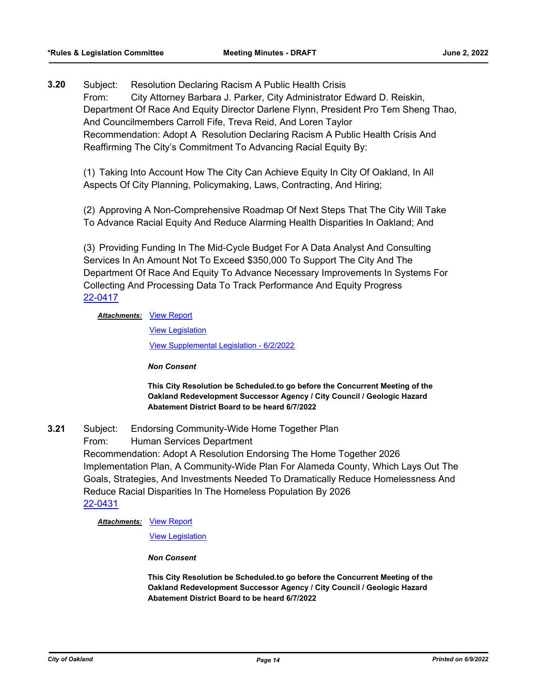**3.20** Subject: Resolution Declaring Racism A Public Health Crisis From: City Attorney Barbara J. Parker, City Administrator Edward D. Reiskin, Department Of Race And Equity Director Darlene Flynn, President Pro Tem Sheng Thao, And Councilmembers Carroll Fife, Treva Reid, And Loren Taylor Recommendation: Adopt A Resolution Declaring Racism A Public Health Crisis And Reaffirming The City's Commitment To Advancing Racial Equity By:

(1) Taking Into Account How The City Can Achieve Equity In City Of Oakland, In All Aspects Of City Planning, Policymaking, Laws, Contracting, And Hiring;

(2) Approving A Non-Comprehensive Roadmap Of Next Steps That The City Will Take To Advance Racial Equity And Reduce Alarming Health Disparities In Oakland; And

(3) Providing Funding In The Mid-Cycle Budget For A Data Analyst And Consulting Services In An Amount Not To Exceed \$350,000 To Support The City And The Department Of Race And Equity To Advance Necessary Improvements In Systems For Collecting And Processing Data To Track Performance And Equity Progress [22-0417](http://oakland.legistar.com/gateway.aspx?m=l&id=/matter.aspx?key=33338)

# **Attachments: [View Report](http://oakland.legistar.com/gateway.aspx?M=F&ID=cc180a06-b33e-4cb1-b0f6-99a796c8437b.pdf)**

[View Legislation](http://oakland.legistar.com/gateway.aspx?M=F&ID=a34bc286-2d62-4e58-b1ac-9eb975e0ac95.PDF) [View Supplemental Legislation - 6/2/2022](http://oakland.legistar.com/gateway.aspx?M=F&ID=264b61ed-723c-48ab-9df9-e7262806f007.pdf)

*Non Consent*

**This City Resolution be Scheduled.to go before the Concurrent Meeting of the Oakland Redevelopment Successor Agency / City Council / Geologic Hazard Abatement District Board to be heard 6/7/2022**

- **3.21** Subject: Endorsing Community-Wide Home Together Plan
	- From: Human Services Department

Recommendation: Adopt A Resolution Endorsing The Home Together 2026 Implementation Plan, A Community-Wide Plan For Alameda County, Which Lays Out The Goals, Strategies, And Investments Needed To Dramatically Reduce Homelessness And Reduce Racial Disparities In The Homeless Population By 2026 [22-0431](http://oakland.legistar.com/gateway.aspx?m=l&id=/matter.aspx?key=33352)

# **Attachments: [View Report](http://oakland.legistar.com/gateway.aspx?M=F&ID=0ee0cfb9-fc1e-4c9f-9887-31c60c5ab94c.pdf)**

[View Legislation](http://oakland.legistar.com/gateway.aspx?M=F&ID=3bf4ae45-79ba-4adc-b321-c7b4a1c32525.PDF)

*Non Consent*

**This City Resolution be Scheduled.to go before the Concurrent Meeting of the Oakland Redevelopment Successor Agency / City Council / Geologic Hazard Abatement District Board to be heard 6/7/2022**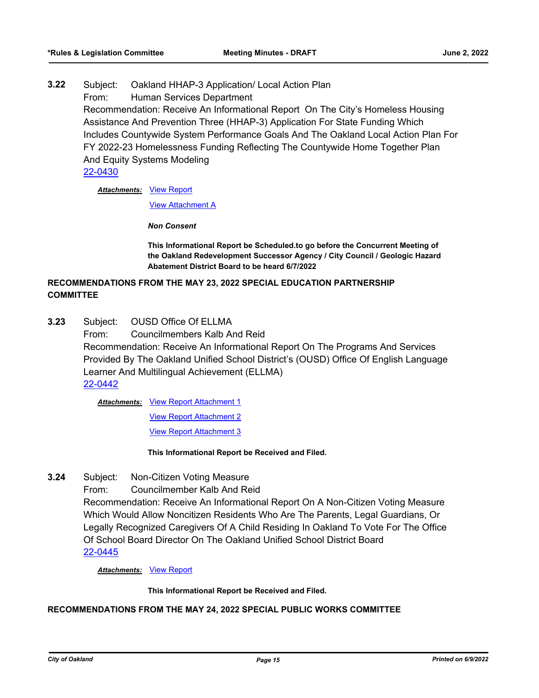**3.22** Subject: Oakland HHAP-3 Application/ Local Action Plan From: Human Services Department Recommendation: Receive An Informational Report On The City's Homeless Housing Assistance And Prevention Three (HHAP-3) Application For State Funding Which Includes Countywide System Performance Goals And The Oakland Local Action Plan For FY 2022-23 Homelessness Funding Reflecting The Countywide Home Together Plan And Equity Systems Modeling [22-0430](http://oakland.legistar.com/gateway.aspx?m=l&id=/matter.aspx?key=33351)

**Attachments: [View Report](http://oakland.legistar.com/gateway.aspx?M=F&ID=c3b043e2-96af-4ba6-ba72-a7fd445f9309.pdf)** 

[View Attachment A](http://oakland.legistar.com/gateway.aspx?M=F&ID=28ca1ee8-6eba-4155-9849-3c996ae22f36.pdf)

*Non Consent*

**This Informational Report be Scheduled.to go before the Concurrent Meeting of the Oakland Redevelopment Successor Agency / City Council / Geologic Hazard Abatement District Board to be heard 6/7/2022**

# **RECOMMENDATIONS FROM THE MAY 23, 2022 SPECIAL EDUCATION PARTNERSHIP COMMITTEE**

**3.23** Subject: OUSD Office Of ELLMA

From: Councilmembers Kalb And Reid Recommendation: Receive An Informational Report On The Programs And Services Provided By The Oakland Unified School District's (OUSD) Office Of English Language Learner And Multilingual Achievement (ELLMA) [22-0442](http://oakland.legistar.com/gateway.aspx?m=l&id=/matter.aspx?key=33363)

Attachments: [View Report Attachment 1](http://oakland.legistar.com/gateway.aspx?M=F&ID=c4c70103-9df0-4753-821d-78af4d9ed8d8.pdf)

[View Report Attachment 2](http://oakland.legistar.com/gateway.aspx?M=F&ID=c27c3a98-a1e9-41a7-9ae4-20cfa5f851e4.pdf) [View Report Attachment 3](http://oakland.legistar.com/gateway.aspx?M=F&ID=7a3806a5-d477-4f67-8d95-b5e32b624590.pdf)

**This Informational Report be Received and Filed.**

**3.24** Subject: Non-Citizen Voting Measure

From: Councilmember Kalb And Reid

Recommendation: Receive An Informational Report On A Non-Citizen Voting Measure Which Would Allow Noncitizen Residents Who Are The Parents, Legal Guardians, Or Legally Recognized Caregivers Of A Child Residing In Oakland To Vote For The Office Of School Board Director On The Oakland Unified School District Board [22-0445](http://oakland.legistar.com/gateway.aspx?m=l&id=/matter.aspx?key=33366)

*Attachments:* [View Report](http://oakland.legistar.com/gateway.aspx?M=F&ID=def584de-6df3-4299-ad03-6d639cdf8c10.pdf)

**This Informational Report be Received and Filed.**

# **RECOMMENDATIONS FROM THE MAY 24, 2022 SPECIAL PUBLIC WORKS COMMITTEE**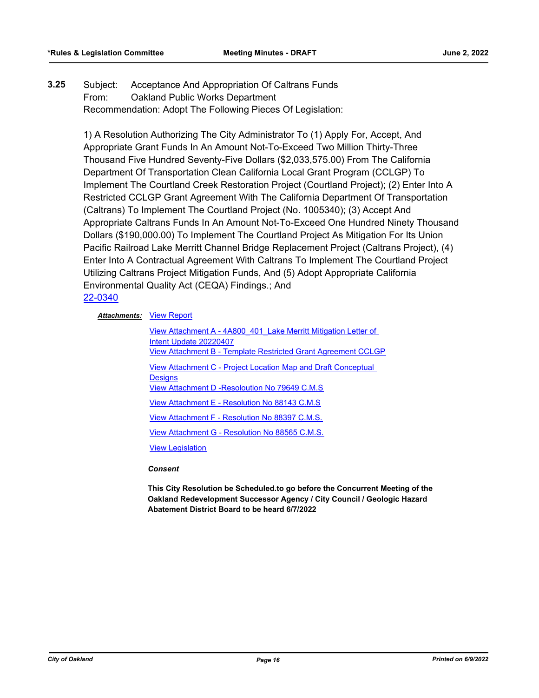# **3.25** Subject: Acceptance And Appropriation Of Caltrans Funds From: Oakland Public Works Department Recommendation: Adopt The Following Pieces Of Legislation:

1) A Resolution Authorizing The City Administrator To (1) Apply For, Accept, And Appropriate Grant Funds In An Amount Not-To-Exceed Two Million Thirty-Three Thousand Five Hundred Seventy-Five Dollars (\$2,033,575.00) From The California Department Of Transportation Clean California Local Grant Program (CCLGP) To Implement The Courtland Creek Restoration Project (Courtland Project); (2) Enter Into A Restricted CCLGP Grant Agreement With The California Department Of Transportation (Caltrans) To Implement The Courtland Project (No. 1005340); (3) Accept And Appropriate Caltrans Funds In An Amount Not-To-Exceed One Hundred Ninety Thousand Dollars (\$190,000.00) To Implement The Courtland Project As Mitigation For Its Union Pacific Railroad Lake Merritt Channel Bridge Replacement Project (Caltrans Project), (4) Enter Into A Contractual Agreement With Caltrans To Implement The Courtland Project Utilizing Caltrans Project Mitigation Funds, And (5) Adopt Appropriate California Environmental Quality Act (CEQA) Findings.; And [22-0340](http://oakland.legistar.com/gateway.aspx?m=l&id=/matter.aspx?key=33261)

# **Attachments: [View Report](http://oakland.legistar.com/gateway.aspx?M=F&ID=9fbe55e0-9d1c-456f-ad19-634ea29e1ad1.pdf)**

View Attachment A - 4A800 401 Lake Merritt Mitigation Letter of Intent Update 20220407 [View Attachment B - Template Restricted Grant Agreement CCLGP](http://oakland.legistar.com/gateway.aspx?M=F&ID=2902f5b9-d6a2-4585-aae4-51c2057e8e55.pdf) [View Attachment C - Project Location Map and Draft Conceptual](http://oakland.legistar.com/gateway.aspx?M=F&ID=e038e868-ac0d-43c2-b366-9d020ca2411a.pdf)  **Designs** [View Attachment D -Resoloution No 79649 C.M.S](http://oakland.legistar.com/gateway.aspx?M=F&ID=fda50720-29af-46c6-ab51-70d28acef8ca.pdf) [View Attachment E - Resolution No 88143 C.M.S](http://oakland.legistar.com/gateway.aspx?M=F&ID=7cf976e8-bd36-4d00-ba45-7868cfd0d058.pdf) [View Attachment F - Resolution No 88397 C.M.S.](http://oakland.legistar.com/gateway.aspx?M=F&ID=cabb5a74-f3e1-461f-abbc-3d2dc7ab301b.pdf) [View Attachment G - Resolution No 88565 C.M.S.](http://oakland.legistar.com/gateway.aspx?M=F&ID=03983745-efe2-441b-acea-dc0a658d91f7.pdf) [View Legislation](http://oakland.legistar.com/gateway.aspx?M=F&ID=5832459b-aa6c-4704-a5dc-608bcda16251.pdf)

*Consent*

**This City Resolution be Scheduled.to go before the Concurrent Meeting of the Oakland Redevelopment Successor Agency / City Council / Geologic Hazard Abatement District Board to be heard 6/7/2022**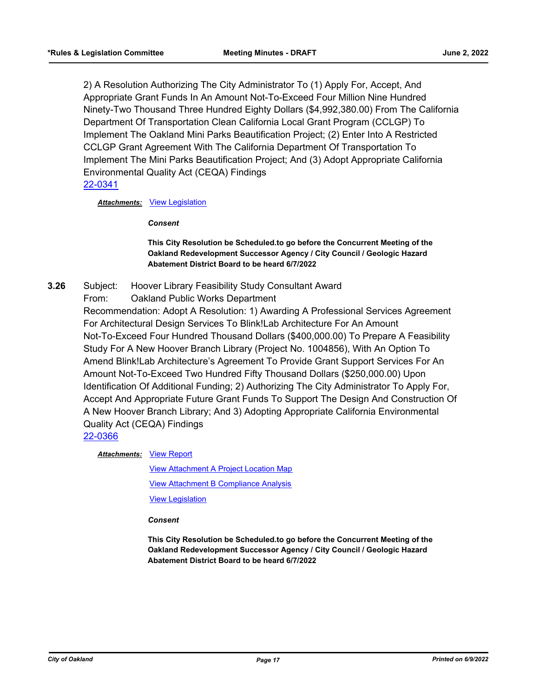2) A Resolution Authorizing The City Administrator To (1) Apply For, Accept, And Appropriate Grant Funds In An Amount Not-To-Exceed Four Million Nine Hundred Ninety-Two Thousand Three Hundred Eighty Dollars (\$4,992,380.00) From The California Department Of Transportation Clean California Local Grant Program (CCLGP) To Implement The Oakland Mini Parks Beautification Project; (2) Enter Into A Restricted CCLGP Grant Agreement With The California Department Of Transportation To Implement The Mini Parks Beautification Project; And (3) Adopt Appropriate California Environmental Quality Act (CEQA) Findings [22-0341](http://oakland.legistar.com/gateway.aspx?m=l&id=/matter.aspx?key=33262)

# *Attachments:* [View Legislation](http://oakland.legistar.com/gateway.aspx?M=F&ID=e3355ded-7aa8-4fd7-aaae-f650ad428def.pdf)

*Consent*

# **This City Resolution be Scheduled.to go before the Concurrent Meeting of the Oakland Redevelopment Successor Agency / City Council / Geologic Hazard Abatement District Board to be heard 6/7/2022**

- **3.26** Subject: Hoover Library Feasibility Study Consultant Award
	- From: Oakland Public Works Department

Recommendation: Adopt A Resolution: 1) Awarding A Professional Services Agreement For Architectural Design Services To Blink!Lab Architecture For An Amount Not-To-Exceed Four Hundred Thousand Dollars (\$400,000.00) To Prepare A Feasibility Study For A New Hoover Branch Library (Project No. 1004856), With An Option To Amend Blink!Lab Architecture's Agreement To Provide Grant Support Services For An Amount Not-To-Exceed Two Hundred Fifty Thousand Dollars (\$250,000.00) Upon Identification Of Additional Funding; 2) Authorizing The City Administrator To Apply For, Accept And Appropriate Future Grant Funds To Support The Design And Construction Of A New Hoover Branch Library; And 3) Adopting Appropriate California Environmental Quality Act (CEQA) Findings [22-0366](http://oakland.legistar.com/gateway.aspx?m=l&id=/matter.aspx?key=33287)

**Attachments: [View Report](http://oakland.legistar.com/gateway.aspx?M=F&ID=acc72ed7-73ef-4224-811e-a69b36cb8e45.pdf)** 

[View Attachment A Project Location Map](http://oakland.legistar.com/gateway.aspx?M=F&ID=2a359a38-a7e8-431f-882d-5e7d3f3f32cb.pdf) [View Attachment B Compliance Analysis](http://oakland.legistar.com/gateway.aspx?M=F&ID=01996100-14b5-414c-8720-e4ffd85a52dd.pdf) [View Legislation](http://oakland.legistar.com/gateway.aspx?M=F&ID=4979acfe-8821-40ea-827e-b5385ee1b43b.pdf)

*Consent*

**This City Resolution be Scheduled.to go before the Concurrent Meeting of the Oakland Redevelopment Successor Agency / City Council / Geologic Hazard Abatement District Board to be heard 6/7/2022**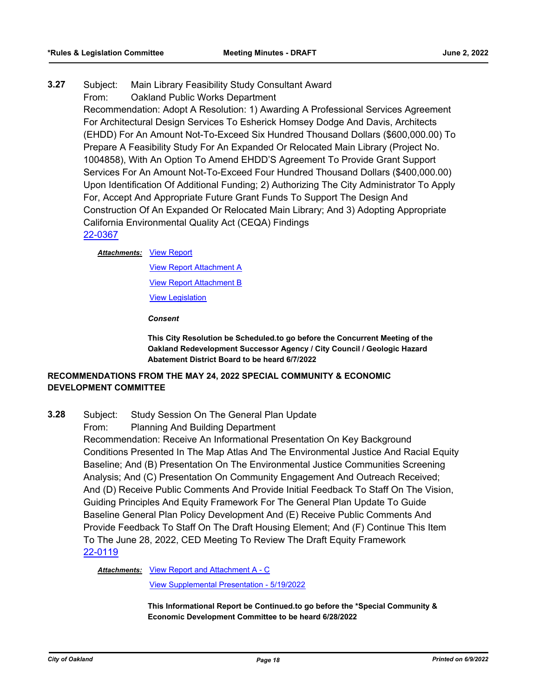# **3.27** Subject: Main Library Feasibility Study Consultant Award

From: Oakland Public Works Department

Recommendation: Adopt A Resolution: 1) Awarding A Professional Services Agreement For Architectural Design Services To Esherick Homsey Dodge And Davis, Architects (EHDD) For An Amount Not-To-Exceed Six Hundred Thousand Dollars (\$600,000.00) To Prepare A Feasibility Study For An Expanded Or Relocated Main Library (Project No. 1004858), With An Option To Amend EHDD'S Agreement To Provide Grant Support Services For An Amount Not-To-Exceed Four Hundred Thousand Dollars (\$400,000.00) Upon Identification Of Additional Funding; 2) Authorizing The City Administrator To Apply For, Accept And Appropriate Future Grant Funds To Support The Design And Construction Of An Expanded Or Relocated Main Library; And 3) Adopting Appropriate California Environmental Quality Act (CEQA) Findings [22-0367](http://oakland.legistar.com/gateway.aspx?m=l&id=/matter.aspx?key=33288)

#### **Attachments: [View Report](http://oakland.legistar.com/gateway.aspx?M=F&ID=84ddeb43-ec7b-4b4a-b86e-b4b73d9e58eb.pdf)**

[View Report Attachment A](http://oakland.legistar.com/gateway.aspx?M=F&ID=c49ae20e-786c-4932-a653-5ff3df9f34d7.pdf) [View Report Attachment B](http://oakland.legistar.com/gateway.aspx?M=F&ID=413a2f25-1552-4211-9d68-232f8d074423.pdf) [View Legislation](http://oakland.legistar.com/gateway.aspx?M=F&ID=172c9a0e-e093-4560-8c72-4740183dbaa4.pdf)

*Consent*

**This City Resolution be Scheduled.to go before the Concurrent Meeting of the Oakland Redevelopment Successor Agency / City Council / Geologic Hazard Abatement District Board to be heard 6/7/2022**

# **RECOMMENDATIONS FROM THE MAY 24, 2022 SPECIAL COMMUNITY & ECONOMIC DEVELOPMENT COMMITTEE**

- **3.28** Subject: Study Session On The General Plan Update
	- From: Planning And Building Department

Recommendation: Receive An Informational Presentation On Key Background Conditions Presented In The Map Atlas And The Environmental Justice And Racial Equity Baseline; And (B) Presentation On The Environmental Justice Communities Screening Analysis; And (C) Presentation On Community Engagement And Outreach Received; And (D) Receive Public Comments And Provide Initial Feedback To Staff On The Vision, Guiding Principles And Equity Framework For The General Plan Update To Guide Baseline General Plan Policy Development And (E) Receive Public Comments And Provide Feedback To Staff On The Draft Housing Element; And (F) Continue This Item To The June 28, 2022, CED Meeting To Review The Draft Equity Framework [22-0119](http://oakland.legistar.com/gateway.aspx?m=l&id=/matter.aspx?key=33040)

Attachments: [View Report and Attachment A - C](http://oakland.legistar.com/gateway.aspx?M=F&ID=3e55ecab-13c5-4983-9131-1803da023caa.pdf)

[View Supplemental Presentation - 5/19/2022](http://oakland.legistar.com/gateway.aspx?M=F&ID=7a4727e5-03f3-436c-aec9-32655f52bde3.pdf)

**This Informational Report be Continued.to go before the \*Special Community & Economic Development Committee to be heard 6/28/2022**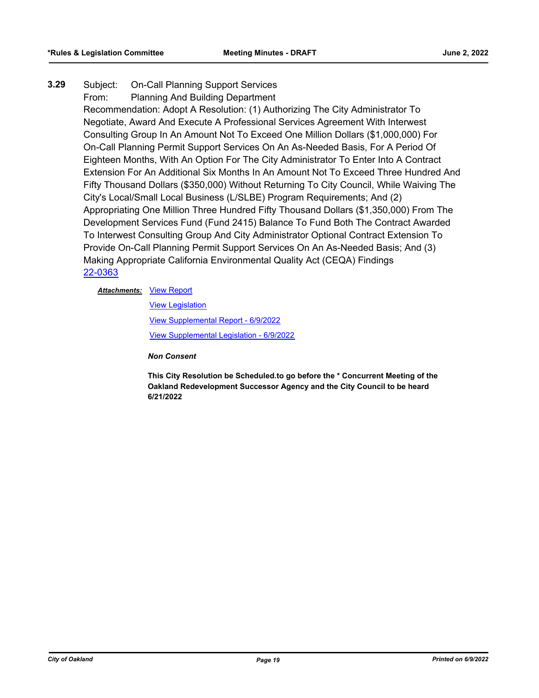# **3.29** Subject: On-Call Planning Support Services From: Planning And Building Department Recommendation: Adopt A Resolution: (1) Authorizing The City Administrator To Negotiate, Award And Execute A Professional Services Agreement With Interwest Consulting Group In An Amount Not To Exceed One Million Dollars (\$1,000,000) For On-Call Planning Permit Support Services On An As-Needed Basis, For A Period Of Eighteen Months, With An Option For The City Administrator To Enter Into A Contract Extension For An Additional Six Months In An Amount Not To Exceed Three Hundred And Fifty Thousand Dollars (\$350,000) Without Returning To City Council, While Waiving The City's Local/Small Local Business (L/SLBE) Program Requirements; And (2) Appropriating One Million Three Hundred Fifty Thousand Dollars (\$1,350,000) From The Development Services Fund (Fund 2415) Balance To Fund Both The Contract Awarded To Interwest Consulting Group And City Administrator Optional Contract Extension To Provide On-Call Planning Permit Support Services On An As-Needed Basis; And (3) Making Appropriate California Environmental Quality Act (CEQA) Findings [22-0363](http://oakland.legistar.com/gateway.aspx?m=l&id=/matter.aspx?key=33284)

# **Attachments: [View Report](http://oakland.legistar.com/gateway.aspx?M=F&ID=fdd4f5ac-00fe-416a-9a56-a48579417b27.pdf)**

[View Legislation](http://oakland.legistar.com/gateway.aspx?M=F&ID=d9bbee05-26af-4ba7-8293-addecb27b115.pdf) [View Supplemental Report - 6/9/2022](http://oakland.legistar.com/gateway.aspx?M=F&ID=95f96ea6-de4f-4d71-9175-ca7a43ce4677.pdf) [View Supplemental Legislation - 6/9/2022](http://oakland.legistar.com/gateway.aspx?M=F&ID=f8f98525-6b0c-40d1-a815-07a6fe169b8c.pdf)

*Non Consent*

**This City Resolution be Scheduled.to go before the \* Concurrent Meeting of the Oakland Redevelopment Successor Agency and the City Council to be heard 6/21/2022**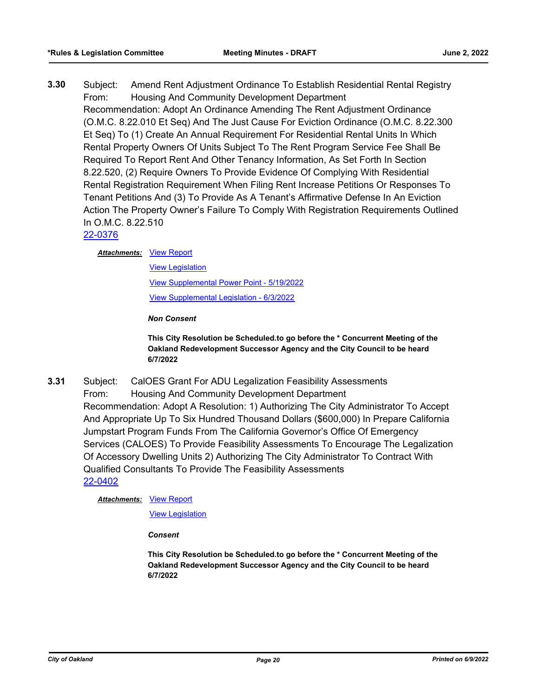**3.30** Subject: Amend Rent Adjustment Ordinance To Establish Residential Rental Registry From: Housing And Community Development Department Recommendation: Adopt An Ordinance Amending The Rent Adjustment Ordinance (O.M.C. 8.22.010 Et Seq) And The Just Cause For Eviction Ordinance (O.M.C. 8.22.300 Et Seq) To (1) Create An Annual Requirement For Residential Rental Units In Which Rental Property Owners Of Units Subject To The Rent Program Service Fee Shall Be Required To Report Rent And Other Tenancy Information, As Set Forth In Section 8.22.520, (2) Require Owners To Provide Evidence Of Complying With Residential Rental Registration Requirement When Filing Rent Increase Petitions Or Responses To Tenant Petitions And (3) To Provide As A Tenant's Affirmative Defense In An Eviction Action The Property Owner's Failure To Comply With Registration Requirements Outlined In O.M.C. 8.22.510

# [22-0376](http://oakland.legistar.com/gateway.aspx?m=l&id=/matter.aspx?key=33297)

# **Attachments: [View Report](http://oakland.legistar.com/gateway.aspx?M=F&ID=c4937fb0-c6c5-4555-aca8-e00019d019fd.pdf)**

[View Legislation](http://oakland.legistar.com/gateway.aspx?M=F&ID=01891bac-9595-448f-850c-566070d73580.PDF) [View Supplemental Power Point - 5/19/2022](http://oakland.legistar.com/gateway.aspx?M=F&ID=d1764194-7df1-4567-bbf8-0b7eaeb37a35.pdf) [View Supplemental Legislation - 6/3/2022](http://oakland.legistar.com/gateway.aspx?M=F&ID=ea0f8918-6535-402c-a903-8450d01efddc.pdf)

*Non Consent*

**This City Resolution be Scheduled.to go before the \* Concurrent Meeting of the Oakland Redevelopment Successor Agency and the City Council to be heard 6/7/2022**

**3.31** Subject: CalOES Grant For ADU Legalization Feasibility Assessments From: Housing And Community Development Department Recommendation: Adopt A Resolution: 1) Authorizing The City Administrator To Accept And Appropriate Up To Six Hundred Thousand Dollars (\$600,000) In Prepare California Jumpstart Program Funds From The California Governor's Office Of Emergency Services (CALOES) To Provide Feasibility Assessments To Encourage The Legalization Of Accessory Dwelling Units 2) Authorizing The City Administrator To Contract With Qualified Consultants To Provide The Feasibility Assessments [22-0402](http://oakland.legistar.com/gateway.aspx?m=l&id=/matter.aspx?key=33323)

# **Attachments: [View Report](http://oakland.legistar.com/gateway.aspx?M=F&ID=c19011a7-d783-449c-b3ef-2ce315ed2230.pdf)**

[View Legislation](http://oakland.legistar.com/gateway.aspx?M=F&ID=d66e2782-bd77-4675-b9d9-623a99a77dd1.pdf)

*Consent*

**This City Resolution be Scheduled.to go before the \* Concurrent Meeting of the Oakland Redevelopment Successor Agency and the City Council to be heard 6/7/2022**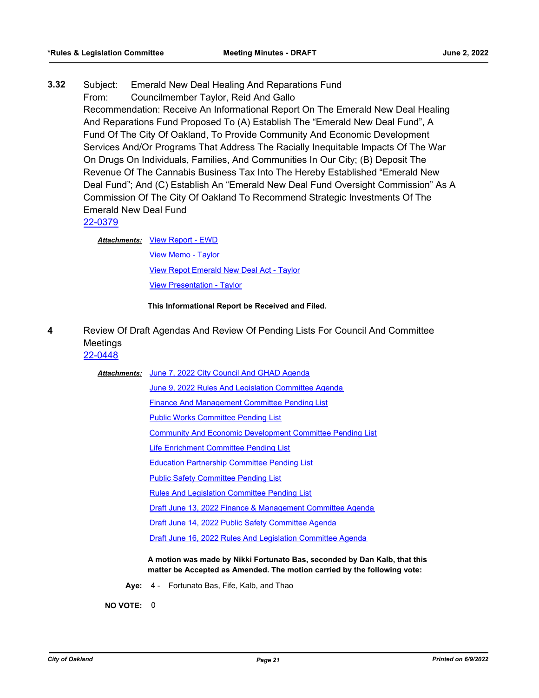**3.32** Subject: Emerald New Deal Healing And Reparations Fund From: Councilmember Taylor, Reid And Gallo Recommendation: Receive An Informational Report On The Emerald New Deal Healing And Reparations Fund Proposed To (A) Establish The "Emerald New Deal Fund", A Fund Of The City Of Oakland, To Provide Community And Economic Development Services And/Or Programs That Address The Racially Inequitable Impacts Of The War On Drugs On Individuals, Families, And Communities In Our City; (B) Deposit The Revenue Of The Cannabis Business Tax Into The Hereby Established "Emerald New Deal Fund"; And (C) Establish An "Emerald New Deal Fund Oversight Commission" As A Commission Of The City Of Oakland To Recommend Strategic Investments Of The Emerald New Deal Fund

[22-0379](http://oakland.legistar.com/gateway.aspx?m=l&id=/matter.aspx?key=33300)

Attachments: [View Report - EWD](http://oakland.legistar.com/gateway.aspx?M=F&ID=9310eebf-4752-49d3-99d4-4594772988a2.pdf)

[View Memo - Taylor](http://oakland.legistar.com/gateway.aspx?M=F&ID=0a8292a9-aa80-44b0-b516-43ad147e1cf3.pdf) [View Repot Emerald New Deal Act - Taylor](http://oakland.legistar.com/gateway.aspx?M=F&ID=0005a6da-0ed8-4581-916a-ca8a36232637.pdf) [View Presentation - Taylor](http://oakland.legistar.com/gateway.aspx?M=F&ID=07acbf8a-1cfd-4d89-90a4-25b24900b8c8.pdf)

**This Informational Report be Received and Filed.**

**4** Review Of Draft Agendas And Review Of Pending Lists For Council And Committee Meetings [22-0448](http://oakland.legistar.com/gateway.aspx?m=l&id=/matter.aspx?key=33369)

| <b>Attachments:</b> | June 7, 2022 City Council And GHAD Agenda                                                                                                             |
|---------------------|-------------------------------------------------------------------------------------------------------------------------------------------------------|
|                     | June 9, 2022 Rules And Legislation Committee Agenda                                                                                                   |
|                     | <b>Finance And Management Committee Pending List</b>                                                                                                  |
|                     | <b>Public Works Committee Pending List</b>                                                                                                            |
|                     | <b>Community And Economic Development Committee Pending List</b>                                                                                      |
|                     | <b>Life Enrichment Committee Pending List</b>                                                                                                         |
|                     | <b>Education Partnership Committee Pending List</b>                                                                                                   |
|                     | <b>Public Safety Committee Pending List</b>                                                                                                           |
|                     | <b>Rules And Legislation Committee Pending List</b>                                                                                                   |
|                     | Draft June 13, 2022 Finance & Management Committee Agenda                                                                                             |
|                     | Draft June 14, 2022 Public Safety Committee Agenda                                                                                                    |
|                     | Draft June 16, 2022 Rules And Legislation Committee Agenda                                                                                            |
|                     | A motion was made by Nikki Fortunato Bas, seconded by Dan Kalb, that this<br>matter be Accepted as Amended. The motion carried by the following vote: |

**Aye:** 4 - Fortunato Bas, Fife, Kalb, and Thao

**NO VOTE:** 0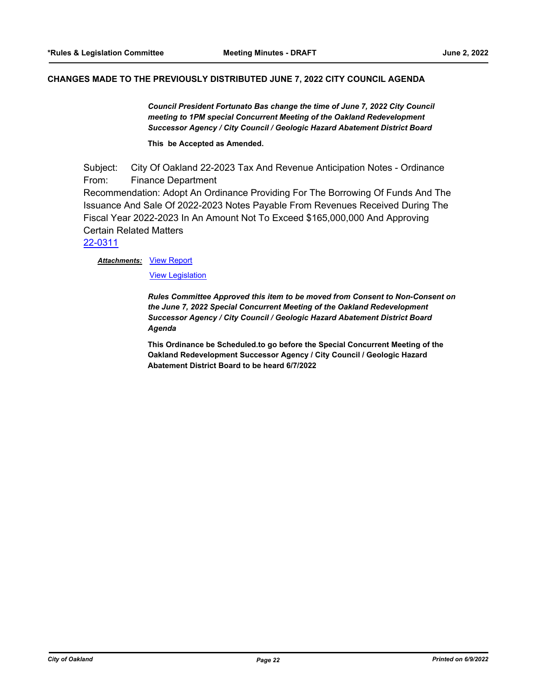#### **CHANGES MADE TO THE PREVIOUSLY DISTRIBUTED JUNE 7, 2022 CITY COUNCIL AGENDA**

*Council President Fortunato Bas change the time of June 7, 2022 City Council meeting to 1PM special Concurrent Meeting of the Oakland Redevelopment Successor Agency / City Council / Geologic Hazard Abatement District Board*

**This be Accepted as Amended.**

Subject: City Of Oakland 22-2023 Tax And Revenue Anticipation Notes - Ordinance From: Finance Department Recommendation: Adopt An Ordinance Providing For The Borrowing Of Funds And The Issuance And Sale Of 2022-2023 Notes Payable From Revenues Received During The Fiscal Year 2022-2023 In An Amount Not To Exceed \$165,000,000 And Approving Certain Related Matters

[22-0311](http://oakland.legistar.com/gateway.aspx?m=l&id=/matter.aspx?key=33232)

#### **Attachments: [View Report](http://oakland.legistar.com/gateway.aspx?M=F&ID=1a4516fd-e606-4d91-834f-e603d52aa37b.pdf)**

[View Legislation](http://oakland.legistar.com/gateway.aspx?M=F&ID=1ac4c886-c104-4de8-a3e3-6b66e3ac6ed8.pdf)

*Rules Committee Approved this item to be moved from Consent to Non-Consent on the June 7, 2022 Special Concurrent Meeting of the Oakland Redevelopment Successor Agency / City Council / Geologic Hazard Abatement District Board Agenda*

**This Ordinance be Scheduled.to go before the Special Concurrent Meeting of the Oakland Redevelopment Successor Agency / City Council / Geologic Hazard Abatement District Board to be heard 6/7/2022**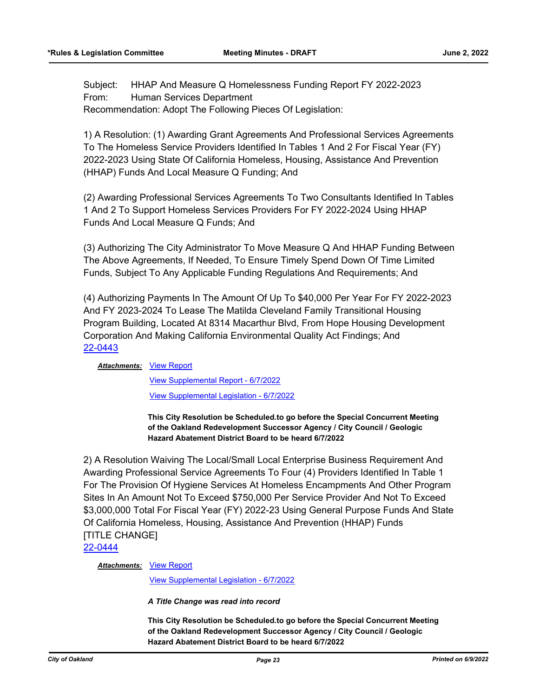Subject: HHAP And Measure Q Homelessness Funding Report FY 2022-2023 From: Human Services Department Recommendation: Adopt The Following Pieces Of Legislation:

1) A Resolution: (1) Awarding Grant Agreements And Professional Services Agreements To The Homeless Service Providers Identified In Tables 1 And 2 For Fiscal Year (FY) 2022-2023 Using State Of California Homeless, Housing, Assistance And Prevention (HHAP) Funds And Local Measure Q Funding; And

(2) Awarding Professional Services Agreements To Two Consultants Identified In Tables 1 And 2 To Support Homeless Services Providers For FY 2022-2024 Using HHAP Funds And Local Measure Q Funds; And

(3) Authorizing The City Administrator To Move Measure Q And HHAP Funding Between The Above Agreements, If Needed, To Ensure Timely Spend Down Of Time Limited Funds, Subject To Any Applicable Funding Regulations And Requirements; And

(4) Authorizing Payments In The Amount Of Up To \$40,000 Per Year For FY 2022-2023 And FY 2023-2024 To Lease The Matilda Cleveland Family Transitional Housing Program Building, Located At 8314 Macarthur Blvd, From Hope Housing Development Corporation And Making California Environmental Quality Act Findings; And [22-0443](http://oakland.legistar.com/gateway.aspx?m=l&id=/matter.aspx?key=33364)

#### **Attachments: [View Report](http://oakland.legistar.com/gateway.aspx?M=F&ID=862853c1-14ea-400e-a13c-29b5ec695b90.pdf)**

[View Supplemental Report - 6/7/2022](http://oakland.legistar.com/gateway.aspx?M=F&ID=0ecf3c83-6cf3-49e5-908c-b5457dfa3077.pdf) [View Supplemental Legislation - 6/7/2022](http://oakland.legistar.com/gateway.aspx?M=F&ID=8a01c4ca-e178-414f-bb04-4a8acdcb0510.PDF)

**This City Resolution be Scheduled.to go before the Special Concurrent Meeting of the Oakland Redevelopment Successor Agency / City Council / Geologic Hazard Abatement District Board to be heard 6/7/2022**

2) A Resolution Waiving The Local/Small Local Enterprise Business Requirement And Awarding Professional Service Agreements To Four (4) Providers Identified In Table 1 For The Provision Of Hygiene Services At Homeless Encampments And Other Program Sites In An Amount Not To Exceed \$750,000 Per Service Provider And Not To Exceed \$3,000,000 Total For Fiscal Year (FY) 2022-23 Using General Purpose Funds And State Of California Homeless, Housing, Assistance And Prevention (HHAP) Funds [TITLE CHANGE]

[22-0444](http://oakland.legistar.com/gateway.aspx?m=l&id=/matter.aspx?key=33365)

**Attachments: [View Report](http://oakland.legistar.com/gateway.aspx?M=F&ID=09685917-0cf6-48dc-ad73-0cbbd4c0efc8.pdf)** 

[View Supplemental Legislation - 6/7/2022](http://oakland.legistar.com/gateway.aspx?M=F&ID=c95c153e-5aea-4dc8-955e-010f55591363.PDF)

*A Title Change was read into record*

**This City Resolution be Scheduled.to go before the Special Concurrent Meeting of the Oakland Redevelopment Successor Agency / City Council / Geologic Hazard Abatement District Board to be heard 6/7/2022**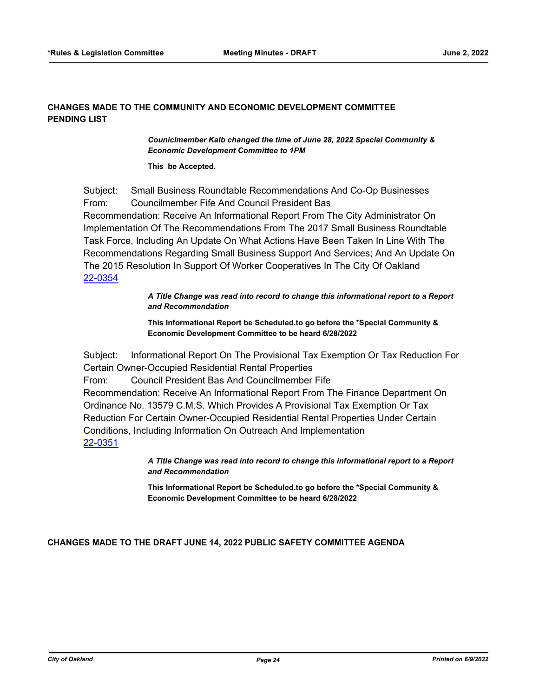# **CHANGES MADE TO THE COMMUNITY AND ECONOMIC DEVELOPMENT COMMITTEE PENDING LIST**

*Couniclmember Kalb changed the time of June 28, 2022 Special Community & Economic Development Committee to 1PM*

**This be Accepted.**

Subject: Small Business Roundtable Recommendations And Co-Op Businesses From: Councilmember Fife And Council President Bas Recommendation: Receive An Informational Report From The City Administrator On Implementation Of The Recommendations From The 2017 Small Business Roundtable Task Force, Including An Update On What Actions Have Been Taken In Line With The Recommendations Regarding Small Business Support And Services; And An Update On The 2015 Resolution In Support Of Worker Cooperatives In The City Of Oakland [22-0354](http://oakland.legistar.com/gateway.aspx?m=l&id=/matter.aspx?key=33275)

> *A Title Change was read into record to change this informational report to a Report and Recommendation*

**This Informational Report be Scheduled.to go before the \*Special Community & Economic Development Committee to be heard 6/28/2022**

Subject: Informational Report On The Provisional Tax Exemption Or Tax Reduction For Certain Owner-Occupied Residential Rental Properties From: Council President Bas And Councilmember Fife

Recommendation: Receive An Informational Report From The Finance Department On Ordinance No. 13579 C.M.S. Which Provides A Provisional Tax Exemption Or Tax Reduction For Certain Owner-Occupied Residential Rental Properties Under Certain Conditions, Including Information On Outreach And Implementation [22-0351](http://oakland.legistar.com/gateway.aspx?m=l&id=/matter.aspx?key=33272)

> *A Title Change was read into record to change this informational report to a Report and Recommendation*

**This Informational Report be Scheduled.to go before the \*Special Community & Economic Development Committee to be heard 6/28/2022**

**CHANGES MADE TO THE DRAFT JUNE 14, 2022 PUBLIC SAFETY COMMITTEE AGENDA**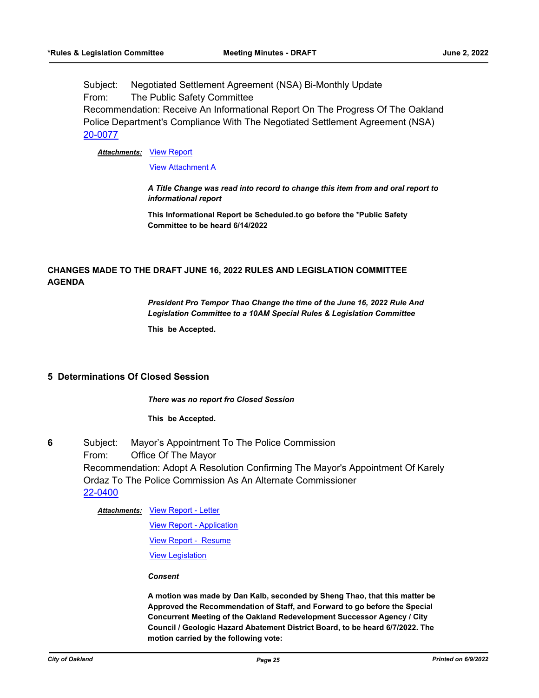Subject: Negotiated Settlement Agreement (NSA) Bi-Monthly Update From: The Public Safety Committee Recommendation: Receive An Informational Report On The Progress Of The Oakland Police Department's Compliance With The Negotiated Settlement Agreement (NSA) [20-0077](http://oakland.legistar.com/gateway.aspx?m=l&id=/matter.aspx?key=31065)

**Attachments: [View Report](http://oakland.legistar.com/gateway.aspx?M=F&ID=403fec50-3f83-4527-b4d1-52102a454aac.pdf)** 

[View Attachment A](http://oakland.legistar.com/gateway.aspx?M=F&ID=1d859172-9794-473f-81b1-d5a9fe45bb21.pdf)

*A Title Change was read into record to change this item from and oral report to informational report*

**This Informational Report be Scheduled.to go before the \*Public Safety Committee to be heard 6/14/2022**

# **CHANGES MADE TO THE DRAFT JUNE 16, 2022 RULES AND LEGISLATION COMMITTEE AGENDA**

*President Pro Tempor Thao Change the time of the June 16, 2022 Rule And Legislation Committee to a 10AM Special Rules & Legislation Committee*

**This be Accepted.**

# **5 Determinations Of Closed Session**

*There was no report fro Closed Session*

**This be Accepted.**

**6** Subject: Mayor's Appointment To The Police Commission From: Office Of The Mayor Recommendation: Adopt A Resolution Confirming The Mayor's Appointment Of Karely Ordaz To The Police Commission As An Alternate Commissioner [22-0400](http://oakland.legistar.com/gateway.aspx?m=l&id=/matter.aspx?key=33321)

#### [View Report - Letter](http://oakland.legistar.com/gateway.aspx?M=F&ID=3914d04e-4dce-4549-b767-c8d475932e73.pdf) *Attachments:*

[View Report - Application](http://oakland.legistar.com/gateway.aspx?M=F&ID=410f3111-2f99-4f81-b1b2-6a4755f1a2ef.pdf) [View Report - Resume](http://oakland.legistar.com/gateway.aspx?M=F&ID=726b0b10-11e8-4ff5-b38c-17c2e250fafc.pdf) [View Legislation](http://oakland.legistar.com/gateway.aspx?M=F&ID=8b8f79a9-1ec4-4469-b6c4-275d75b4fd22.pdf)

#### *Consent*

**A motion was made by Dan Kalb, seconded by Sheng Thao, that this matter be Approved the Recommendation of Staff, and Forward to go before the Special Concurrent Meeting of the Oakland Redevelopment Successor Agency / City Council / Geologic Hazard Abatement District Board, to be heard 6/7/2022. The motion carried by the following vote:**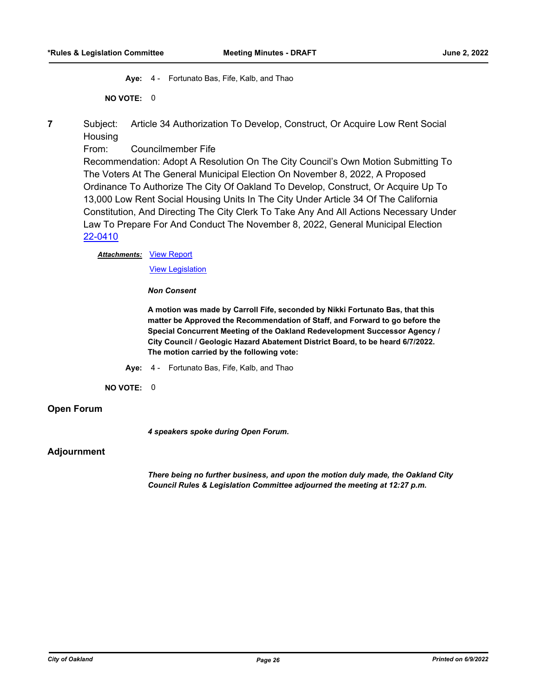**Aye:** 4 - Fortunato Bas, Fife, Kalb, and Thao

**NO VOTE:** 0

**7** Subject: Article 34 Authorization To Develop, Construct, Or Acquire Low Rent Social **Housing** 

From: Councilmember Fife

Recommendation: Adopt A Resolution On The City Council's Own Motion Submitting To The Voters At The General Municipal Election On November 8, 2022, A Proposed Ordinance To Authorize The City Of Oakland To Develop, Construct, Or Acquire Up To 13,000 Low Rent Social Housing Units In The City Under Article 34 Of The California Constitution, And Directing The City Clerk To Take Any And All Actions Necessary Under Law To Prepare For And Conduct The November 8, 2022, General Municipal Election [22-0410](http://oakland.legistar.com/gateway.aspx?m=l&id=/matter.aspx?key=33331)

**Attachments: [View Report](http://oakland.legistar.com/gateway.aspx?M=F&ID=afb48d17-ed66-4886-839b-cc7b68cb2fad.pdf)** 

[View Legislation](http://oakland.legistar.com/gateway.aspx?M=F&ID=65e7059d-f9e1-44fd-9540-e20f2f156271.pdf)

*Non Consent*

**A motion was made by Carroll Fife, seconded by Nikki Fortunato Bas, that this matter be Approved the Recommendation of Staff, and Forward to go before the Special Concurrent Meeting of the Oakland Redevelopment Successor Agency / City Council / Geologic Hazard Abatement District Board, to be heard 6/7/2022. The motion carried by the following vote:**

**Aye:** 4 - Fortunato Bas, Fife, Kalb, and Thao

**NO VOTE:** 0

# **Open Forum**

*4 speakers spoke during Open Forum.*

# **Adjournment**

*There being no further business, and upon the motion duly made, the Oakland City Council Rules & Legislation Committee adjourned the meeting at 12:27 p.m.*